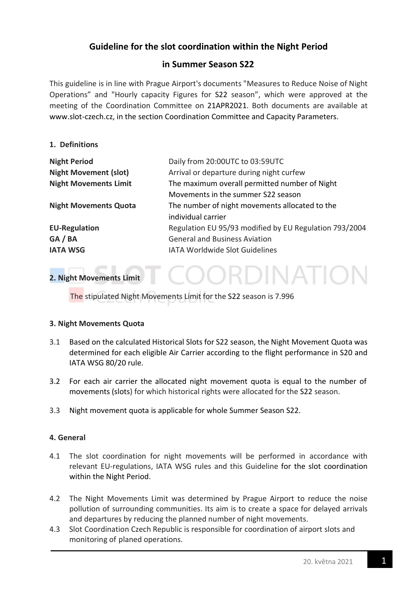# Guideline for the slot coordination within the Night Period

## in Summer Season S22

This guideline is in line with Prague Airport's documents "Measures to Reduce Noise of Night Operations" and "Hourly capacity Figures for S22 season", which were approved at the meeting of the Coordination Committee on 21APR2021. Both documents are available at www.slot-czech.cz, in the section Coordination Committee and Capacity Parameters.

#### 1. Definitions

| <b>Night Period</b>          | Daily from 20:00UTC to 03:59UTC                        |
|------------------------------|--------------------------------------------------------|
| <b>Night Movement (slot)</b> | Arrival or departure during night curfew               |
| <b>Night Movements Limit</b> | The maximum overall permitted number of Night          |
|                              | Movements in the summer S22 season                     |
| <b>Night Movements Quota</b> | The number of night movements allocated to the         |
|                              | individual carrier                                     |
| <b>EU-Regulation</b>         | Regulation EU 95/93 modified by EU Regulation 793/2004 |
| GA / BA                      | <b>General and Business Aviation</b>                   |
| <b>IATA WSG</b>              | <b>IATA Worldwide Slot Guidelines</b>                  |

**DORDINATIO** 

## 2. Night Movements Limit

The stipulated Night Movements Limit for the S22 season is 7.996

#### 3. Night Movements Quota

- 3.1 Based on the calculated Historical Slots for S22 season, the Night Movement Quota was determined for each eligible Air Carrier according to the flight performance in S20 and IATA WSG 80/20 rule.
- 3.2 For each air carrier the allocated night movement quota is equal to the number of movements (slots) for which historical rights were allocated for the S22 season.
- 3.3 Night movement quota is applicable for whole Summer Season S22.

## 4. General

- 4.1 The slot coordination for night movements will be performed in accordance with relevant EU-regulations, IATA WSG rules and this Guideline for the slot coordination within the Night Period.
- 4.2 The Night Movements Limit was determined by Prague Airport to reduce the noise pollution of surrounding communities. Its aim is to create a space for delayed arrivals and departures by reducing the planned number of night movements.
- 4.3 Slot Coordination Czech Republic is responsible for coordination of airport slots and monitoring of planed operations.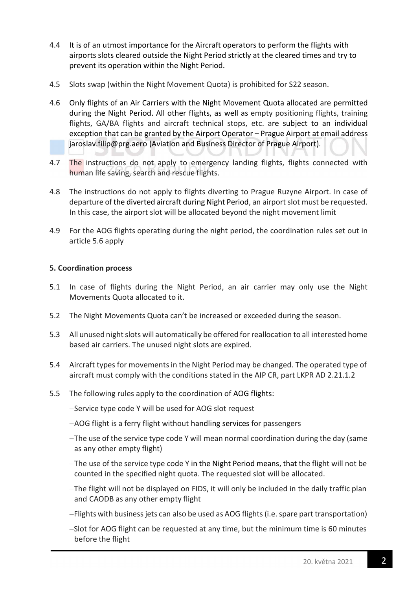- 4.4 It is of an utmost importance for the Aircraft operators to perform the flights with airports slots cleared outside the Night Period strictly at the cleared times and try to prevent its operation within the Night Period.
- 4.5 Slots swap (within the Night Movement Quota) is prohibited for S22 season.
- 4.6 Only flights of an Air Carriers with the Night Movement Quota allocated are permitted during the Night Period. All other flights, as well as empty positioning flights, training flights, GA/BA flights and aircraft technical stops, etc. are subject to an individual exception that can be granted by the Airport Operator – Prague Airport at email address jaroslav.filip@prg.aero (Aviation and Business Director of Prague Airport).
- 4.7 The instructions do not apply to emergency landing flights, flights connected with human life saving, search and rescue flights.
- 4.8 The instructions do not apply to flights diverting to Prague Ruzyne Airport. In case of departure of the diverted aircraft during Night Period, an airport slot must be requested. In this case, the airport slot will be allocated beyond the night movement limit
- 4.9 For the AOG flights operating during the night period, the coordination rules set out in article 5.6 apply

## 5. Coordination process

- 5.1 In case of flights during the Night Period, an air carrier may only use the Night Movements Quota allocated to it.
- 5.2 The Night Movements Quota can't be increased or exceeded during the season.
- 5.3 All unused night slots will automatically be offered for reallocation to all interested home based air carriers. The unused night slots are expired.
- 5.4 Aircraft types for movements in the Night Period may be changed. The operated type of aircraft must comply with the conditions stated in the AIP CR, part LKPR AD 2.21.1.2
- 5.5 The following rules apply to the coordination of AOG flights:
	- -Service type code Y will be used for AOG slot request
	- AOG flight is a ferry flight without handling services for passengers
	- The use of the service type code Y will mean normal coordination during the day (same as any other empty flight)
	- The use of the service type code Y in the Night Period means, that the flight will not be counted in the specified night quota. The requested slot will be allocated.
	- The flight will not be displayed on FIDS, it will only be included in the daily traffic plan and CAODB as any other empty flight
	- Flights with business jets can also be used as AOG flights (i.e. spare part transportation)
	- -Slot for AOG flight can be requested at any time, but the minimum time is 60 minutes before the flight